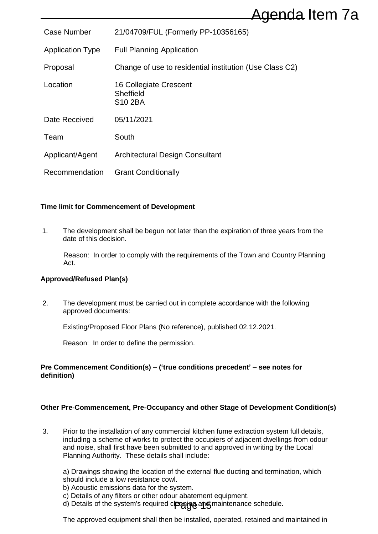|                                                                                             |                                                                                                                                                                                                                                                                                                                             | Agenda Item 7a                                                                                                                                                                                                                                                                                                         |  |
|---------------------------------------------------------------------------------------------|-----------------------------------------------------------------------------------------------------------------------------------------------------------------------------------------------------------------------------------------------------------------------------------------------------------------------------|------------------------------------------------------------------------------------------------------------------------------------------------------------------------------------------------------------------------------------------------------------------------------------------------------------------------|--|
| <b>Case Number</b>                                                                          |                                                                                                                                                                                                                                                                                                                             | 21/04709/FUL (Formerly PP-10356165)                                                                                                                                                                                                                                                                                    |  |
| <b>Application Type</b>                                                                     |                                                                                                                                                                                                                                                                                                                             | <b>Full Planning Application</b>                                                                                                                                                                                                                                                                                       |  |
| Proposal                                                                                    |                                                                                                                                                                                                                                                                                                                             | Change of use to residential institution (Use Class C2)                                                                                                                                                                                                                                                                |  |
| Location                                                                                    |                                                                                                                                                                                                                                                                                                                             | 16 Collegiate Crescent<br>Sheffield<br>S10 2BA                                                                                                                                                                                                                                                                         |  |
| Date Received                                                                               |                                                                                                                                                                                                                                                                                                                             | 05/11/2021                                                                                                                                                                                                                                                                                                             |  |
| Team                                                                                        |                                                                                                                                                                                                                                                                                                                             | South                                                                                                                                                                                                                                                                                                                  |  |
| Applicant/Agent                                                                             |                                                                                                                                                                                                                                                                                                                             | <b>Architectural Design Consultant</b>                                                                                                                                                                                                                                                                                 |  |
|                                                                                             | Recommendation                                                                                                                                                                                                                                                                                                              | <b>Grant Conditionally</b>                                                                                                                                                                                                                                                                                             |  |
|                                                                                             |                                                                                                                                                                                                                                                                                                                             | <b>Time limit for Commencement of Development</b>                                                                                                                                                                                                                                                                      |  |
| 1.                                                                                          | The development shall be begun not later than the expiration of three years from the<br>date of this decision.                                                                                                                                                                                                              |                                                                                                                                                                                                                                                                                                                        |  |
|                                                                                             | Act.                                                                                                                                                                                                                                                                                                                        | Reason: In order to comply with the requirements of the Town and Country Planning                                                                                                                                                                                                                                      |  |
|                                                                                             | Approved/Refused Plan(s)                                                                                                                                                                                                                                                                                                    |                                                                                                                                                                                                                                                                                                                        |  |
| 2.                                                                                          |                                                                                                                                                                                                                                                                                                                             | The development must be carried out in complete accordance with the following<br>approved documents:                                                                                                                                                                                                                   |  |
|                                                                                             |                                                                                                                                                                                                                                                                                                                             | Existing/Proposed Floor Plans (No reference), published 02.12.2021.                                                                                                                                                                                                                                                    |  |
|                                                                                             |                                                                                                                                                                                                                                                                                                                             | Reason: In order to define the permission.                                                                                                                                                                                                                                                                             |  |
| Pre Commencement Condition(s) – ('true conditions precedent' – see notes for<br>definition) |                                                                                                                                                                                                                                                                                                                             |                                                                                                                                                                                                                                                                                                                        |  |
|                                                                                             |                                                                                                                                                                                                                                                                                                                             | Other Pre-Commencement, Pre-Occupancy and other Stage of Development Condition(s)                                                                                                                                                                                                                                      |  |
| 3.                                                                                          | Prior to the installation of any commercial kitchen fume extraction system full details,<br>including a scheme of works to protect the occupiers of adjacent dwellings from odour<br>and noise, shall first have been submitted to and approved in writing by the Local<br>Planning Authority. These details shall include: |                                                                                                                                                                                                                                                                                                                        |  |
|                                                                                             |                                                                                                                                                                                                                                                                                                                             | a) Drawings showing the location of the external flue ducting and termination, which<br>should include a low resistance cowl.<br>b) Acoustic emissions data for the system.<br>c) Details of any filters or other odour abatement equipment.<br>d) Details of the system's required cleaning and maintenance schedule. |  |

#### **Time limit for Commencement of Development**

#### **Approved/Refused Plan(s)**

#### **Pre Commencement Condition(s) – ('true conditions precedent' – see notes for definition)**

#### **Other Pre-Commencement, Pre-Occupancy and other Stage of Development Condition(s)**

- b) Acoustic emissions data for the system.
- c) Details of any filters or other odour abatement equipment.
- d) Details of the system's required cleaning and maintenance schedule.

The approved equipment shall then be installed, operated, retained and maintained in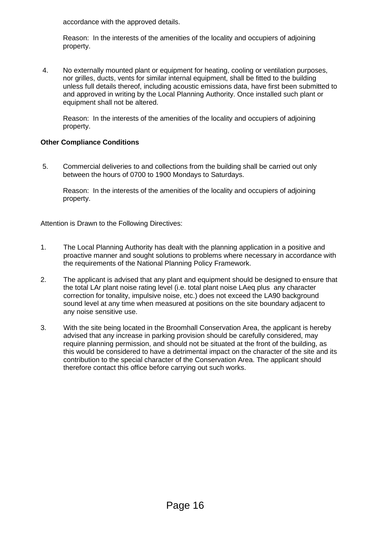accordance with the approved details.

Reason: In the interests of the amenities of the locality and occupiers of adjoining property.

4. No externally mounted plant or equipment for heating, cooling or ventilation purposes, nor grilles, ducts, vents for similar internal equipment, shall be fitted to the building unless full details thereof, including acoustic emissions data, have first been submitted to and approved in writing by the Local Planning Authority. Once installed such plant or equipment shall not be altered.

Reason: In the interests of the amenities of the locality and occupiers of adjoining property.

#### **Other Compliance Conditions**

5. Commercial deliveries to and collections from the building shall be carried out only between the hours of 0700 to 1900 Mondays to Saturdays.

Reason: In the interests of the amenities of the locality and occupiers of adjoining property.

Attention is Drawn to the Following Directives:

- 1. The Local Planning Authority has dealt with the planning application in a positive and proactive manner and sought solutions to problems where necessary in accordance with the requirements of the National Planning Policy Framework.
- 2. The applicant is advised that any plant and equipment should be designed to ensure that the total LAr plant noise rating level (i.e. total plant noise LAeq plus any character correction for tonality, impulsive noise, etc.) does not exceed the LA90 background sound level at any time when measured at positions on the site boundary adjacent to any noise sensitive use.
- 3. With the site being located in the Broomhall Conservation Area, the applicant is hereby advised that any increase in parking provision should be carefully considered, may require planning permission, and should not be situated at the front of the building, as this would be considered to have a detrimental impact on the character of the site and its contribution to the special character of the Conservation Area. The applicant should therefore contact this office before carrying out such works.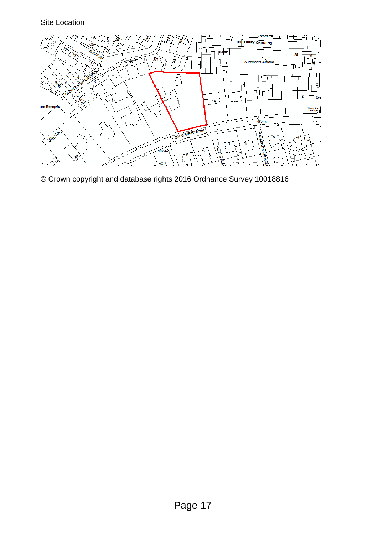# Site Location



© Crown copyright and database rights 2016 Ordnance Survey 10018816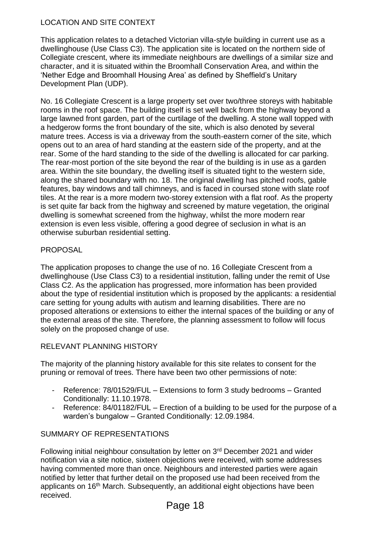# LOCATION AND SITE CONTEXT

This application relates to a detached Victorian villa-style building in current use as a dwellinghouse (Use Class C3). The application site is located on the northern side of Collegiate crescent, where its immediate neighbours are dwellings of a similar size and character, and it is situated within the Broomhall Conservation Area, and within the 'Nether Edge and Broomhall Housing Area' as defined by Sheffield's Unitary Development Plan (UDP).

No. 16 Collegiate Crescent is a large property set over two/three storeys with habitable rooms in the roof space. The building itself is set well back from the highway beyond a large lawned front garden, part of the curtilage of the dwelling. A stone wall topped with a hedgerow forms the front boundary of the site, which is also denoted by several mature trees. Access is via a driveway from the south-eastern corner of the site, which opens out to an area of hard standing at the eastern side of the property, and at the rear. Some of the hard standing to the side of the dwelling is allocated for car parking. The rear-most portion of the site beyond the rear of the building is in use as a garden area. Within the site boundary, the dwelling itself is situated tight to the western side, along the shared boundary with no. 18. The original dwelling has pitched roofs, gable features, bay windows and tall chimneys, and is faced in coursed stone with slate roof tiles. At the rear is a more modern two-storey extension with a flat roof. As the property is set quite far back from the highway and screened by mature vegetation, the original dwelling is somewhat screened from the highway, whilst the more modern rear extension is even less visible, offering a good degree of seclusion in what is an otherwise suburban residential setting.

# **PROPOSAL**

The application proposes to change the use of no. 16 Collegiate Crescent from a dwellinghouse (Use Class C3) to a residential institution, falling under the remit of Use Class C2. As the application has progressed, more information has been provided about the type of residential institution which is proposed by the applicants: a residential care setting for young adults with autism and learning disabilities. There are no proposed alterations or extensions to either the internal spaces of the building or any of the external areas of the site. Therefore, the planning assessment to follow will focus solely on the proposed change of use.

# RELEVANT PLANNING HISTORY

The majority of the planning history available for this site relates to consent for the pruning or removal of trees. There have been two other permissions of note:

- Reference: 78/01529/FUL Extensions to form 3 study bedrooms Granted Conditionally: 11.10.1978.
- Reference: 84/01182/FUL Erection of a building to be used for the purpose of a warden's bungalow – Granted Conditionally: 12.09.1984.

# SUMMARY OF REPRESENTATIONS

Following initial neighbour consultation by letter on 3<sup>rd</sup> December 2021 and wider notification via a site notice, sixteen objections were received, with some addresses having commented more than once. Neighbours and interested parties were again notified by letter that further detail on the proposed use had been received from the applicants on 16<sup>th</sup> March. Subsequently, an additional eight objections have been received.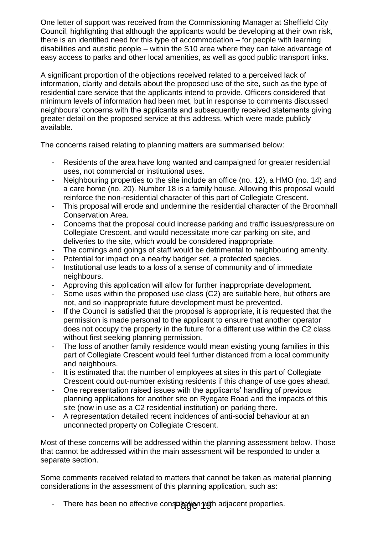One letter of support was received from the Commissioning Manager at Sheffield City Council, highlighting that although the applicants would be developing at their own risk, there is an identified need for this type of accommodation – for people with learning disabilities and autistic people – within the S10 area where they can take advantage of easy access to parks and other local amenities, as well as good public transport links.

A significant proportion of the objections received related to a perceived lack of information, clarity and details about the proposed use of the site, such as the type of residential care service that the applicants intend to provide. Officers considered that minimum levels of information had been met, but in response to comments discussed neighbours' concerns with the applicants and subsequently received statements giving greater detail on the proposed service at this address, which were made publicly available.

The concerns raised relating to planning matters are summarised below:

- Residents of the area have long wanted and campaigned for greater residential uses, not commercial or institutional uses.
- Neighbouring properties to the site include an office (no. 12), a HMO (no. 14) and a care home (no. 20). Number 18 is a family house. Allowing this proposal would reinforce the non-residential character of this part of Collegiate Crescent.
- This proposal will erode and undermine the residential character of the Broomhall Conservation Area.
- Concerns that the proposal could increase parking and traffic issues/pressure on Collegiate Crescent, and would necessitate more car parking on site, and deliveries to the site, which would be considered inappropriate.
- The comings and goings of staff would be detrimental to neighbouring amenity.
- Potential for impact on a nearby badger set, a protected species.
- Institutional use leads to a loss of a sense of community and of immediate neighbours.
- Approving this application will allow for further inappropriate development.
- Some uses within the proposed use class (C2) are suitable here, but others are not, and so inappropriate future development must be prevented.
- If the Council is satisfied that the proposal is appropriate, it is requested that the permission is made personal to the applicant to ensure that another operator does not occupy the property in the future for a different use within the C2 class without first seeking planning permission.
- The loss of another family residence would mean existing young families in this part of Collegiate Crescent would feel further distanced from a local community and neighbours.
- It is estimated that the number of employees at sites in this part of Collegiate Crescent could out-number existing residents if this change of use goes ahead.
- One representation raised issues with the applicants' handling of previous planning applications for another site on Ryegate Road and the impacts of this site (now in use as a C2 residential institution) on parking there.
- A representation detailed recent incidences of anti-social behaviour at an unconnected property on Collegiate Crescent.

Most of these concerns will be addressed within the planning assessment below. Those that cannot be addressed within the main assessment will be responded to under a separate section.

Some comments received related to matters that cannot be taken as material planning considerations in the assessment of this planning application, such as:

- There has been no effective con**spl<del>ygi</del>gn por**h adjacent properties.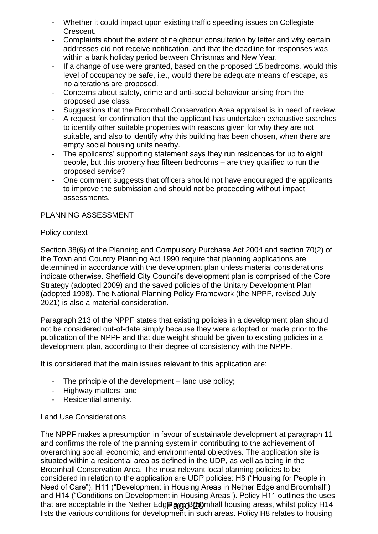- Whether it could impact upon existing traffic speeding issues on Collegiate Crescent.
- Complaints about the extent of neighbour consultation by letter and why certain addresses did not receive notification, and that the deadline for responses was within a bank holiday period between Christmas and New Year.
- If a change of use were granted, based on the proposed 15 bedrooms, would this level of occupancy be safe, i.e., would there be adequate means of escape, as no alterations are proposed.
- Concerns about safety, crime and anti-social behaviour arising from the proposed use class.
- Suggestions that the Broomhall Conservation Area appraisal is in need of review.
- A request for confirmation that the applicant has undertaken exhaustive searches to identify other suitable properties with reasons given for why they are not suitable, and also to identify why this building has been chosen, when there are empty social housing units nearby.
- The applicants' supporting statement says they run residences for up to eight people, but this property has fifteen bedrooms – are they qualified to run the proposed service?
- One comment suggests that officers should not have encouraged the applicants to improve the submission and should not be proceeding without impact assessments.

# PLANNING ASSESSMENT

# Policy context

Section 38(6) of the Planning and Compulsory Purchase Act 2004 and section 70(2) of the Town and Country Planning Act 1990 require that planning applications are determined in accordance with the development plan unless material considerations indicate otherwise. Sheffield City Council's development plan is comprised of the Core Strategy (adopted 2009) and the saved policies of the Unitary Development Plan (adopted 1998). The National Planning Policy Framework (the NPPF, revised July 2021) is also a material consideration.

Paragraph 213 of the NPPF states that existing policies in a development plan should not be considered out-of-date simply because they were adopted or made prior to the publication of the NPPF and that due weight should be given to existing policies in a development plan, according to their degree of consistency with the NPPF.

It is considered that the main issues relevant to this application are:

- The principle of the development land use policy;
- Highway matters; and
- Residential amenity.

# Land Use Considerations

The NPPF makes a presumption in favour of sustainable development at paragraph 11 and confirms the role of the planning system in contributing to the achievement of overarching social, economic, and environmental objectives. The application site is situated within a residential area as defined in the UDP, as well as being in the Broomhall Conservation Area. The most relevant local planning policies to be considered in relation to the application are UDP policies: H8 ("Housing for People in Need of Care"), H11 ("Development in Housing Areas in Nether Edge and Broomhall") and H14 ("Conditions on Development in Housing Areas"). Policy H11 outlines the uses that are acceptable in the Nether Edg**PargeB@0**mhall housing areas, whilst policy H14 lists the various conditions for development in such areas. Policy H8 relates to housing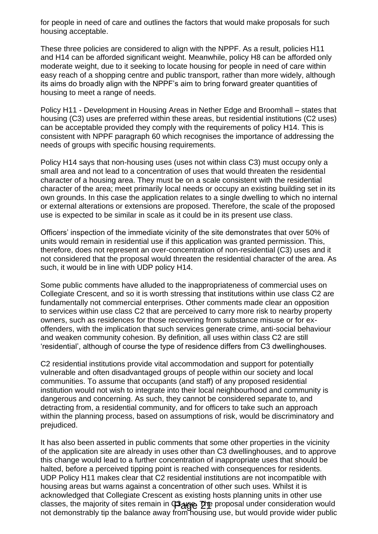for people in need of care and outlines the factors that would make proposals for such housing acceptable.

These three policies are considered to align with the NPPF. As a result, policies H11 and H14 can be afforded significant weight. Meanwhile, policy H8 can be afforded only moderate weight, due to it seeking to locate housing for people in need of care within easy reach of a shopping centre and public transport, rather than more widely, although its aims do broadly align with the NPPF's aim to bring forward greater quantities of housing to meet a range of needs.

Policy H11 - Development in Housing Areas in Nether Edge and Broomhall – states that housing (C3) uses are preferred within these areas, but residential institutions (C2 uses) can be acceptable provided they comply with the requirements of policy H14. This is consistent with NPPF paragraph 60 which recognises the importance of addressing the needs of groups with specific housing requirements.

Policy H14 says that non-housing uses (uses not within class C3) must occupy only a small area and not lead to a concentration of uses that would threaten the residential character of a housing area. They must be on a scale consistent with the residential character of the area; meet primarily local needs or occupy an existing building set in its own grounds. In this case the application relates to a single dwelling to which no internal or external alterations or extensions are proposed. Therefore, the scale of the proposed use is expected to be similar in scale as it could be in its present use class.

Officers' inspection of the immediate vicinity of the site demonstrates that over 50% of units would remain in residential use if this application was granted permission. This, therefore, does not represent an over-concentration of non-residential (C3) uses and it not considered that the proposal would threaten the residential character of the area. As such, it would be in line with UDP policy H14.

Some public comments have alluded to the inappropriateness of commercial uses on Collegiate Crescent, and so it is worth stressing that institutions within use class C2 are fundamentally not commercial enterprises. Other comments made clear an opposition to services within use class C2 that are perceived to carry more risk to nearby property owners, such as residences for those recovering from substance misuse or for exoffenders, with the implication that such services generate crime, anti-social behaviour and weaken community cohesion. By definition, all uses within class C2 are still 'residential', although of course the type of residence differs from C3 dwellinghouses.

C2 residential institutions provide vital accommodation and support for potentially vulnerable and often disadvantaged groups of people within our society and local communities. To assume that occupants (and staff) of any proposed residential institution would not wish to integrate into their local neighbourhood and community is dangerous and concerning. As such, they cannot be considered separate to, and detracting from, a residential community, and for officers to take such an approach within the planning process, based on assumptions of risk, would be discriminatory and prejudiced.

It has also been asserted in public comments that some other properties in the vicinity of the application site are already in uses other than C3 dwellinghouses, and to approve this change would lead to a further concentration of inappropriate uses that should be halted, before a perceived tipping point is reached with consequences for residents. UDP Policy H11 makes clear that C2 residential institutions are not incompatible with housing areas but warns against a concentration of other such uses. Whilst it is acknowledged that Collegiate Crescent as existing hosts planning units in other use classes, the majority of sites remain in C3<sub>46</sub> The proposal under consideration would not demonstrably tip the balance away from housing use, but would provide wider public Page 21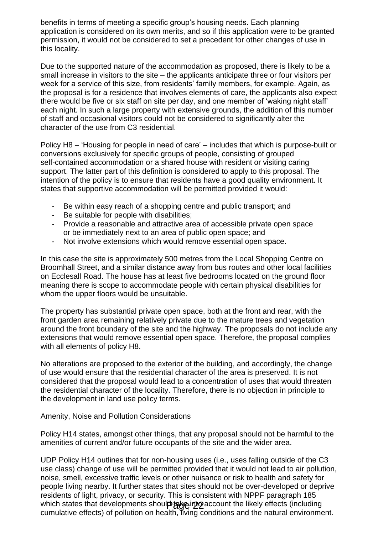benefits in terms of meeting a specific group's housing needs. Each planning application is considered on its own merits, and so if this application were to be granted permission, it would not be considered to set a precedent for other changes of use in this locality.

Due to the supported nature of the accommodation as proposed, there is likely to be a small increase in visitors to the site – the applicants anticipate three or four visitors per week for a service of this size, from residents' family members, for example. Again, as the proposal is for a residence that involves elements of care, the applicants also expect there would be five or six staff on site per day, and one member of 'waking night staff' each night. In such a large property with extensive grounds, the addition of this number of staff and occasional visitors could not be considered to significantly alter the character of the use from C3 residential.

Policy H8 – 'Housing for people in need of care' – includes that which is purpose-built or conversions exclusively for specific groups of people, consisting of grouped self-contained accommodation or a shared house with resident or visiting caring support. The latter part of this definition is considered to apply to this proposal. The intention of the policy is to ensure that residents have a good quality environment. It states that supportive accommodation will be permitted provided it would:

- Be within easy reach of a shopping centre and public transport; and
- Be suitable for people with disabilities:
- Provide a reasonable and attractive area of accessible private open space or be immediately next to an area of public open space; and
- Not involve extensions which would remove essential open space.

In this case the site is approximately 500 metres from the Local Shopping Centre on Broomhall Street, and a similar distance away from bus routes and other local facilities on Ecclesall Road. The house has at least five bedrooms located on the ground floor meaning there is scope to accommodate people with certain physical disabilities for whom the upper floors would be unsuitable.

The property has substantial private open space, both at the front and rear, with the front garden area remaining relatively private due to the mature trees and vegetation around the front boundary of the site and the highway. The proposals do not include any extensions that would remove essential open space. Therefore, the proposal complies with all elements of policy H8.

No alterations are proposed to the exterior of the building, and accordingly, the change of use would ensure that the residential character of the area is preserved. It is not considered that the proposal would lead to a concentration of uses that would threaten the residential character of the locality. Therefore, there is no objection in principle to the development in land use policy terms.

## Amenity, Noise and Pollution Considerations

Policy H14 states, amongst other things, that any proposal should not be harmful to the amenities of current and/or future occupants of the site and the wider area.

UDP Policy H14 outlines that for non-housing uses (i.e., uses falling outside of the C3 use class) change of use will be permitted provided that it would not lead to air pollution, noise, smell, excessive traffic levels or other nuisance or risk to health and safety for people living nearby. It further states that sites should not be over-developed or deprive residents of light, privacy, or security. This is consistent with NPPF paragraph 185 which states that developments shoul**p age into account the likely effects (including** cumulative effects) of pollution on health, living conditions and the natural environment.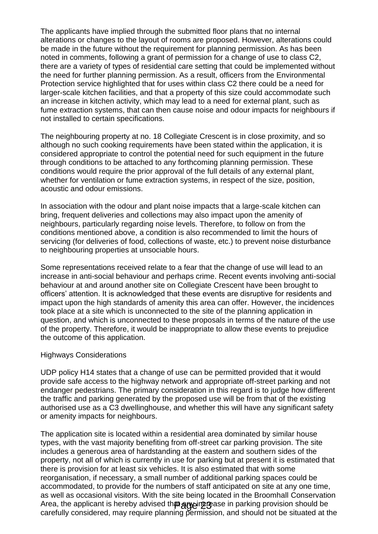The applicants have implied through the submitted floor plans that no internal alterations or changes to the layout of rooms are proposed. However, alterations could be made in the future without the requirement for planning permission. As has been noted in comments, following a grant of permission for a change of use to class C2, there are a variety of types of residential care setting that could be implemented without the need for further planning permission. As a result, officers from the Environmental Protection service highlighted that for uses within class C2 there could be a need for larger-scale kitchen facilities, and that a property of this size could accommodate such an increase in kitchen activity, which may lead to a need for external plant, such as fume extraction systems, that can then cause noise and odour impacts for neighbours if not installed to certain specifications.

The neighbouring property at no. 18 Collegiate Crescent is in close proximity, and so although no such cooking requirements have been stated within the application, it is considered appropriate to control the potential need for such equipment in the future through conditions to be attached to any forthcoming planning permission. These conditions would require the prior approval of the full details of any external plant, whether for ventilation or fume extraction systems, in respect of the size, position, acoustic and odour emissions.

In association with the odour and plant noise impacts that a large-scale kitchen can bring, frequent deliveries and collections may also impact upon the amenity of neighbours, particularly regarding noise levels. Therefore, to follow on from the conditions mentioned above, a condition is also recommended to limit the hours of servicing (for deliveries of food, collections of waste, etc.) to prevent noise disturbance to neighbouring properties at unsociable hours.

Some representations received relate to a fear that the change of use will lead to an increase in anti-social behaviour and perhaps crime. Recent events involving anti-social behaviour at and around another site on Collegiate Crescent have been brought to officers' attention. It is acknowledged that these events are disruptive for residents and impact upon the high standards of amenity this area can offer. However, the incidences took place at a site which is unconnected to the site of the planning application in question, and which is unconnected to these proposals in terms of the nature of the use of the property. Therefore, it would be inappropriate to allow these events to prejudice the outcome of this application.

#### Highways Considerations

UDP policy H14 states that a change of use can be permitted provided that it would provide safe access to the highway network and appropriate off-street parking and not endanger pedestrians. The primary consideration in this regard is to judge how different the traffic and parking generated by the proposed use will be from that of the existing authorised use as a C3 dwellinghouse, and whether this will have any significant safety or amenity impacts for neighbours.

The application site is located within a residential area dominated by similar house types, with the vast majority benefiting from off-street car parking provision. The site includes a generous area of hardstanding at the eastern and southern sides of the property, not all of which is currently in use for parking but at present it is estimated that there is provision for at least six vehicles. It is also estimated that with some reorganisation, if necessary, a small number of additional parking spaces could be accommodated, to provide for the numbers of staff anticipated on site at any one time, as well as occasional visitors. With the site being located in the Broomhall Conservation Area, the applicant is hereby advised th**at any implemental control provision should be** any increase in parking that the control of the control of the control of the control of the control of the control of the control of carefully considered, may require planning permission, and should not be situated at the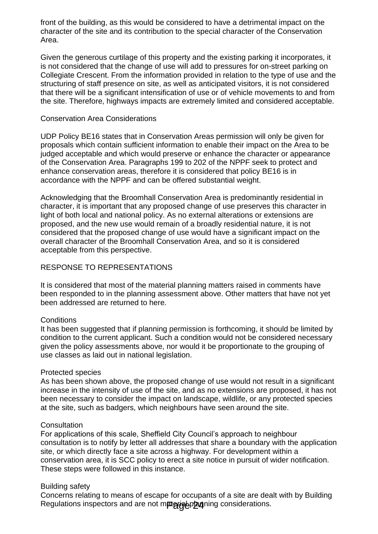front of the building, as this would be considered to have a detrimental impact on the character of the site and its contribution to the special character of the Conservation Area.

Given the generous curtilage of this property and the existing parking it incorporates, it is not considered that the change of use will add to pressures for on-street parking on Collegiate Crescent. From the information provided in relation to the type of use and the structuring of staff presence on site, as well as anticipated visitors, it is not considered that there will be a significant intensification of use or of vehicle movements to and from the site. Therefore, highways impacts are extremely limited and considered acceptable.

### Conservation Area Considerations

UDP Policy BE16 states that in Conservation Areas permission will only be given for proposals which contain sufficient information to enable their impact on the Area to be judged acceptable and which would preserve or enhance the character or appearance of the Conservation Area. Paragraphs 199 to 202 of the NPPF seek to protect and enhance conservation areas, therefore it is considered that policy BE16 is in accordance with the NPPF and can be offered substantial weight.

Acknowledging that the Broomhall Conservation Area is predominantly residential in character, it is important that any proposed change of use preserves this character in light of both local and national policy. As no external alterations or extensions are proposed, and the new use would remain of a broadly residential nature, it is not considered that the proposed change of use would have a significant impact on the overall character of the Broomhall Conservation Area, and so it is considered acceptable from this perspective.

## RESPONSE TO REPRESENTATIONS

It is considered that most of the material planning matters raised in comments have been responded to in the planning assessment above. Other matters that have not yet been addressed are returned to here.

## **Conditions**

It has been suggested that if planning permission is forthcoming, it should be limited by condition to the current applicant. Such a condition would not be considered necessary given the policy assessments above, nor would it be proportionate to the grouping of use classes as laid out in national legislation.

#### Protected species

As has been shown above, the proposed change of use would not result in a significant increase in the intensity of use of the site, and as no extensions are proposed, it has not been necessary to consider the impact on landscape, wildlife, or any protected species at the site, such as badgers, which neighbours have seen around the site.

#### **Consultation**

For applications of this scale, Sheffield City Council's approach to neighbour consultation is to notify by letter all addresses that share a boundary with the application site, or which directly face a site across a highway. For development within a conservation area, it is SCC policy to erect a site notice in pursuit of wider notification. These steps were followed in this instance.

## Building safety

Concerns relating to means of escape for occupants of a site are dealt with by Building Regulations inspectors and are not m**pterigeptzu**ning considerations.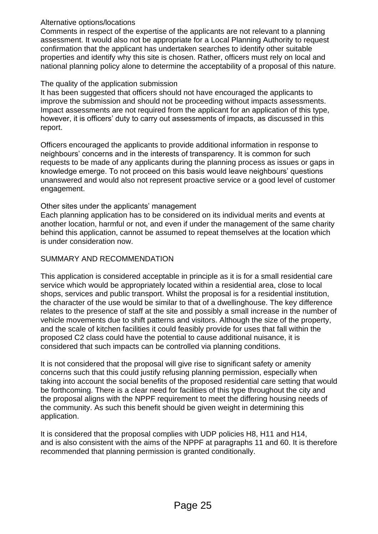# Alternative options/locations

Comments in respect of the expertise of the applicants are not relevant to a planning assessment. It would also not be appropriate for a Local Planning Authority to request confirmation that the applicant has undertaken searches to identify other suitable properties and identify why this site is chosen. Rather, officers must rely on local and national planning policy alone to determine the acceptability of a proposal of this nature.

# The quality of the application submission

It has been suggested that officers should not have encouraged the applicants to improve the submission and should not be proceeding without impacts assessments. Impact assessments are not required from the applicant for an application of this type, however, it is officers' duty to carry out assessments of impacts, as discussed in this report.

Officers encouraged the applicants to provide additional information in response to neighbours' concerns and in the interests of transparency. It is common for such requests to be made of any applicants during the planning process as issues or gaps in knowledge emerge. To not proceed on this basis would leave neighbours' questions unanswered and would also not represent proactive service or a good level of customer engagement.

# Other sites under the applicants' management

Each planning application has to be considered on its individual merits and events at another location, harmful or not, and even if under the management of the same charity behind this application, cannot be assumed to repeat themselves at the location which is under consideration now.

# SUMMARY AND RECOMMENDATION

This application is considered acceptable in principle as it is for a small residential care service which would be appropriately located within a residential area, close to local shops, services and public transport. Whilst the proposal is for a residential institution, the character of the use would be similar to that of a dwellinghouse. The key difference relates to the presence of staff at the site and possibly a small increase in the number of vehicle movements due to shift patterns and visitors. Although the size of the property, and the scale of kitchen facilities it could feasibly provide for uses that fall within the proposed C2 class could have the potential to cause additional nuisance, it is considered that such impacts can be controlled via planning conditions.

It is not considered that the proposal will give rise to significant safety or amenity concerns such that this could justify refusing planning permission, especially when taking into account the social benefits of the proposed residential care setting that would be forthcoming. There is a clear need for facilities of this type throughout the city and the proposal aligns with the NPPF requirement to meet the differing housing needs of the community. As such this benefit should be given weight in determining this application.

It is considered that the proposal complies with UDP policies H8, H11 and H14, and is also consistent with the aims of the NPPF at paragraphs 11 and 60. It is therefore recommended that planning permission is granted conditionally.